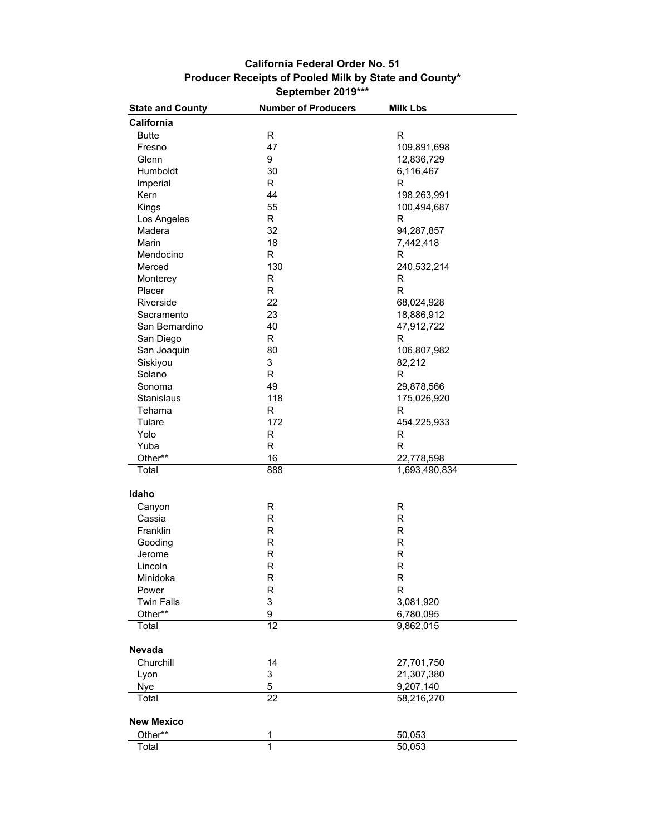## **September 2019\*\*\* Producer Receipts of Pooled Milk by State and County\* California Federal Order No. 51**

| California<br><b>Butte</b><br>R<br>R<br>47<br>109,891,698<br>Fresno<br>Glenn<br>9<br>12,836,729<br>30<br>Humboldt<br>6,116,467<br>R.<br>Imperial<br>R<br>Kern<br>44<br>198,263,991<br>55<br>Kings<br>100,494,687<br>Los Angeles<br>R<br>R<br>Madera<br>32<br>94,287,857<br>18<br>Marin<br>7,442,418<br>Mendocino<br>R<br>R<br>Merced<br>130<br>240,532,214<br>Monterey<br>R<br>R<br>$\overline{\mathsf{R}}$<br>R<br>Placer<br>22<br>68,024,928<br>Riverside<br>23<br>Sacramento<br>18,886,912<br>40<br>San Bernardino<br>47,912,722<br>R<br>San Diego<br>R<br>San Joaquin<br>80<br>106,807,982<br>3<br>Siskiyou<br>82,212<br>Solano<br>R<br>R<br>49<br>29,878,566<br>Sonoma<br>118<br>Stanislaus<br>175,026,920<br>R<br>R<br>Tehama<br>172<br>Tulare<br>454,225,933<br>Yolo<br>R<br>$\mathsf R$<br>R<br>$\mathsf{R}$<br>Yuba<br>Other**<br>16<br>22,778,598<br>888<br>Total<br>1,693,490,834<br>Idaho<br>R<br>R<br>Canyon<br>Cassia<br>R<br>R<br>R<br>R<br>Franklin<br>${\sf R}$<br>Gooding<br>R<br>R<br>Jerome<br>R<br>R<br>$\mathsf R$<br>Lincoln<br>Minidoka<br>R<br>R<br>R<br>R<br>Power<br><b>Twin Falls</b><br>3<br>3,081,920<br>9<br>Other**<br>6,780,095<br>12<br>Total<br>9,862,015<br><b>Nevada</b><br>Churchill<br>14<br>27,701,750<br>3<br>21,307,380<br>Lyon<br>5<br>Nye<br>9,207,140<br>$\overline{22}$<br>58,216,270<br>Total<br><b>New Mexico</b><br>Other**<br>1<br>50,053<br>1<br>Total<br>50,053 | <b>State and County</b> | <b>Number of Producers</b> | <b>Milk Lbs</b> |
|---------------------------------------------------------------------------------------------------------------------------------------------------------------------------------------------------------------------------------------------------------------------------------------------------------------------------------------------------------------------------------------------------------------------------------------------------------------------------------------------------------------------------------------------------------------------------------------------------------------------------------------------------------------------------------------------------------------------------------------------------------------------------------------------------------------------------------------------------------------------------------------------------------------------------------------------------------------------------------------------------------------------------------------------------------------------------------------------------------------------------------------------------------------------------------------------------------------------------------------------------------------------------------------------------------------------------------------------------------------------------------------------------------------------|-------------------------|----------------------------|-----------------|
|                                                                                                                                                                                                                                                                                                                                                                                                                                                                                                                                                                                                                                                                                                                                                                                                                                                                                                                                                                                                                                                                                                                                                                                                                                                                                                                                                                                                                     |                         |                            |                 |
|                                                                                                                                                                                                                                                                                                                                                                                                                                                                                                                                                                                                                                                                                                                                                                                                                                                                                                                                                                                                                                                                                                                                                                                                                                                                                                                                                                                                                     |                         |                            |                 |
|                                                                                                                                                                                                                                                                                                                                                                                                                                                                                                                                                                                                                                                                                                                                                                                                                                                                                                                                                                                                                                                                                                                                                                                                                                                                                                                                                                                                                     |                         |                            |                 |
|                                                                                                                                                                                                                                                                                                                                                                                                                                                                                                                                                                                                                                                                                                                                                                                                                                                                                                                                                                                                                                                                                                                                                                                                                                                                                                                                                                                                                     |                         |                            |                 |
|                                                                                                                                                                                                                                                                                                                                                                                                                                                                                                                                                                                                                                                                                                                                                                                                                                                                                                                                                                                                                                                                                                                                                                                                                                                                                                                                                                                                                     |                         |                            |                 |
|                                                                                                                                                                                                                                                                                                                                                                                                                                                                                                                                                                                                                                                                                                                                                                                                                                                                                                                                                                                                                                                                                                                                                                                                                                                                                                                                                                                                                     |                         |                            |                 |
|                                                                                                                                                                                                                                                                                                                                                                                                                                                                                                                                                                                                                                                                                                                                                                                                                                                                                                                                                                                                                                                                                                                                                                                                                                                                                                                                                                                                                     |                         |                            |                 |
|                                                                                                                                                                                                                                                                                                                                                                                                                                                                                                                                                                                                                                                                                                                                                                                                                                                                                                                                                                                                                                                                                                                                                                                                                                                                                                                                                                                                                     |                         |                            |                 |
|                                                                                                                                                                                                                                                                                                                                                                                                                                                                                                                                                                                                                                                                                                                                                                                                                                                                                                                                                                                                                                                                                                                                                                                                                                                                                                                                                                                                                     |                         |                            |                 |
|                                                                                                                                                                                                                                                                                                                                                                                                                                                                                                                                                                                                                                                                                                                                                                                                                                                                                                                                                                                                                                                                                                                                                                                                                                                                                                                                                                                                                     |                         |                            |                 |
|                                                                                                                                                                                                                                                                                                                                                                                                                                                                                                                                                                                                                                                                                                                                                                                                                                                                                                                                                                                                                                                                                                                                                                                                                                                                                                                                                                                                                     |                         |                            |                 |
|                                                                                                                                                                                                                                                                                                                                                                                                                                                                                                                                                                                                                                                                                                                                                                                                                                                                                                                                                                                                                                                                                                                                                                                                                                                                                                                                                                                                                     |                         |                            |                 |
|                                                                                                                                                                                                                                                                                                                                                                                                                                                                                                                                                                                                                                                                                                                                                                                                                                                                                                                                                                                                                                                                                                                                                                                                                                                                                                                                                                                                                     |                         |                            |                 |
|                                                                                                                                                                                                                                                                                                                                                                                                                                                                                                                                                                                                                                                                                                                                                                                                                                                                                                                                                                                                                                                                                                                                                                                                                                                                                                                                                                                                                     |                         |                            |                 |
|                                                                                                                                                                                                                                                                                                                                                                                                                                                                                                                                                                                                                                                                                                                                                                                                                                                                                                                                                                                                                                                                                                                                                                                                                                                                                                                                                                                                                     |                         |                            |                 |
|                                                                                                                                                                                                                                                                                                                                                                                                                                                                                                                                                                                                                                                                                                                                                                                                                                                                                                                                                                                                                                                                                                                                                                                                                                                                                                                                                                                                                     |                         |                            |                 |
|                                                                                                                                                                                                                                                                                                                                                                                                                                                                                                                                                                                                                                                                                                                                                                                                                                                                                                                                                                                                                                                                                                                                                                                                                                                                                                                                                                                                                     |                         |                            |                 |
|                                                                                                                                                                                                                                                                                                                                                                                                                                                                                                                                                                                                                                                                                                                                                                                                                                                                                                                                                                                                                                                                                                                                                                                                                                                                                                                                                                                                                     |                         |                            |                 |
|                                                                                                                                                                                                                                                                                                                                                                                                                                                                                                                                                                                                                                                                                                                                                                                                                                                                                                                                                                                                                                                                                                                                                                                                                                                                                                                                                                                                                     |                         |                            |                 |
|                                                                                                                                                                                                                                                                                                                                                                                                                                                                                                                                                                                                                                                                                                                                                                                                                                                                                                                                                                                                                                                                                                                                                                                                                                                                                                                                                                                                                     |                         |                            |                 |
|                                                                                                                                                                                                                                                                                                                                                                                                                                                                                                                                                                                                                                                                                                                                                                                                                                                                                                                                                                                                                                                                                                                                                                                                                                                                                                                                                                                                                     |                         |                            |                 |
|                                                                                                                                                                                                                                                                                                                                                                                                                                                                                                                                                                                                                                                                                                                                                                                                                                                                                                                                                                                                                                                                                                                                                                                                                                                                                                                                                                                                                     |                         |                            |                 |
|                                                                                                                                                                                                                                                                                                                                                                                                                                                                                                                                                                                                                                                                                                                                                                                                                                                                                                                                                                                                                                                                                                                                                                                                                                                                                                                                                                                                                     |                         |                            |                 |
|                                                                                                                                                                                                                                                                                                                                                                                                                                                                                                                                                                                                                                                                                                                                                                                                                                                                                                                                                                                                                                                                                                                                                                                                                                                                                                                                                                                                                     |                         |                            |                 |
|                                                                                                                                                                                                                                                                                                                                                                                                                                                                                                                                                                                                                                                                                                                                                                                                                                                                                                                                                                                                                                                                                                                                                                                                                                                                                                                                                                                                                     |                         |                            |                 |
|                                                                                                                                                                                                                                                                                                                                                                                                                                                                                                                                                                                                                                                                                                                                                                                                                                                                                                                                                                                                                                                                                                                                                                                                                                                                                                                                                                                                                     |                         |                            |                 |
|                                                                                                                                                                                                                                                                                                                                                                                                                                                                                                                                                                                                                                                                                                                                                                                                                                                                                                                                                                                                                                                                                                                                                                                                                                                                                                                                                                                                                     |                         |                            |                 |
|                                                                                                                                                                                                                                                                                                                                                                                                                                                                                                                                                                                                                                                                                                                                                                                                                                                                                                                                                                                                                                                                                                                                                                                                                                                                                                                                                                                                                     |                         |                            |                 |
|                                                                                                                                                                                                                                                                                                                                                                                                                                                                                                                                                                                                                                                                                                                                                                                                                                                                                                                                                                                                                                                                                                                                                                                                                                                                                                                                                                                                                     |                         |                            |                 |
|                                                                                                                                                                                                                                                                                                                                                                                                                                                                                                                                                                                                                                                                                                                                                                                                                                                                                                                                                                                                                                                                                                                                                                                                                                                                                                                                                                                                                     |                         |                            |                 |
|                                                                                                                                                                                                                                                                                                                                                                                                                                                                                                                                                                                                                                                                                                                                                                                                                                                                                                                                                                                                                                                                                                                                                                                                                                                                                                                                                                                                                     |                         |                            |                 |
|                                                                                                                                                                                                                                                                                                                                                                                                                                                                                                                                                                                                                                                                                                                                                                                                                                                                                                                                                                                                                                                                                                                                                                                                                                                                                                                                                                                                                     |                         |                            |                 |
|                                                                                                                                                                                                                                                                                                                                                                                                                                                                                                                                                                                                                                                                                                                                                                                                                                                                                                                                                                                                                                                                                                                                                                                                                                                                                                                                                                                                                     |                         |                            |                 |
|                                                                                                                                                                                                                                                                                                                                                                                                                                                                                                                                                                                                                                                                                                                                                                                                                                                                                                                                                                                                                                                                                                                                                                                                                                                                                                                                                                                                                     |                         |                            |                 |
|                                                                                                                                                                                                                                                                                                                                                                                                                                                                                                                                                                                                                                                                                                                                                                                                                                                                                                                                                                                                                                                                                                                                                                                                                                                                                                                                                                                                                     |                         |                            |                 |
|                                                                                                                                                                                                                                                                                                                                                                                                                                                                                                                                                                                                                                                                                                                                                                                                                                                                                                                                                                                                                                                                                                                                                                                                                                                                                                                                                                                                                     |                         |                            |                 |
|                                                                                                                                                                                                                                                                                                                                                                                                                                                                                                                                                                                                                                                                                                                                                                                                                                                                                                                                                                                                                                                                                                                                                                                                                                                                                                                                                                                                                     |                         |                            |                 |
|                                                                                                                                                                                                                                                                                                                                                                                                                                                                                                                                                                                                                                                                                                                                                                                                                                                                                                                                                                                                                                                                                                                                                                                                                                                                                                                                                                                                                     |                         |                            |                 |
|                                                                                                                                                                                                                                                                                                                                                                                                                                                                                                                                                                                                                                                                                                                                                                                                                                                                                                                                                                                                                                                                                                                                                                                                                                                                                                                                                                                                                     |                         |                            |                 |
|                                                                                                                                                                                                                                                                                                                                                                                                                                                                                                                                                                                                                                                                                                                                                                                                                                                                                                                                                                                                                                                                                                                                                                                                                                                                                                                                                                                                                     |                         |                            |                 |
|                                                                                                                                                                                                                                                                                                                                                                                                                                                                                                                                                                                                                                                                                                                                                                                                                                                                                                                                                                                                                                                                                                                                                                                                                                                                                                                                                                                                                     |                         |                            |                 |
|                                                                                                                                                                                                                                                                                                                                                                                                                                                                                                                                                                                                                                                                                                                                                                                                                                                                                                                                                                                                                                                                                                                                                                                                                                                                                                                                                                                                                     |                         |                            |                 |
|                                                                                                                                                                                                                                                                                                                                                                                                                                                                                                                                                                                                                                                                                                                                                                                                                                                                                                                                                                                                                                                                                                                                                                                                                                                                                                                                                                                                                     |                         |                            |                 |
|                                                                                                                                                                                                                                                                                                                                                                                                                                                                                                                                                                                                                                                                                                                                                                                                                                                                                                                                                                                                                                                                                                                                                                                                                                                                                                                                                                                                                     |                         |                            |                 |
|                                                                                                                                                                                                                                                                                                                                                                                                                                                                                                                                                                                                                                                                                                                                                                                                                                                                                                                                                                                                                                                                                                                                                                                                                                                                                                                                                                                                                     |                         |                            |                 |
|                                                                                                                                                                                                                                                                                                                                                                                                                                                                                                                                                                                                                                                                                                                                                                                                                                                                                                                                                                                                                                                                                                                                                                                                                                                                                                                                                                                                                     |                         |                            |                 |
|                                                                                                                                                                                                                                                                                                                                                                                                                                                                                                                                                                                                                                                                                                                                                                                                                                                                                                                                                                                                                                                                                                                                                                                                                                                                                                                                                                                                                     |                         |                            |                 |
|                                                                                                                                                                                                                                                                                                                                                                                                                                                                                                                                                                                                                                                                                                                                                                                                                                                                                                                                                                                                                                                                                                                                                                                                                                                                                                                                                                                                                     |                         |                            |                 |
|                                                                                                                                                                                                                                                                                                                                                                                                                                                                                                                                                                                                                                                                                                                                                                                                                                                                                                                                                                                                                                                                                                                                                                                                                                                                                                                                                                                                                     |                         |                            |                 |
|                                                                                                                                                                                                                                                                                                                                                                                                                                                                                                                                                                                                                                                                                                                                                                                                                                                                                                                                                                                                                                                                                                                                                                                                                                                                                                                                                                                                                     |                         |                            |                 |
|                                                                                                                                                                                                                                                                                                                                                                                                                                                                                                                                                                                                                                                                                                                                                                                                                                                                                                                                                                                                                                                                                                                                                                                                                                                                                                                                                                                                                     |                         |                            |                 |